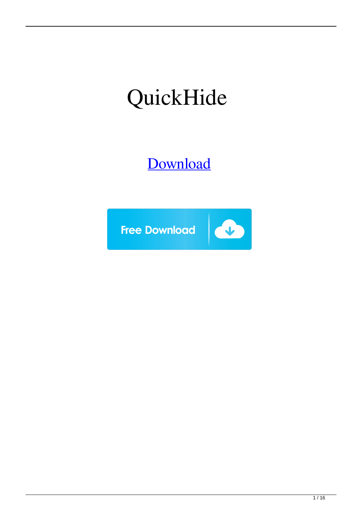# QuickHide

#### [Download](http://evacdir.com/bullion/bustle/lockwood/enjoy/?genuineness&newmill=ZG93bmxvYWR8eXQ5TVRSeGMzeDhNVFkxTkRVeU1qRXhNSHg4TWpVM05IeDhLRTBwSUhKbFlXUXRZbXh2WnlCYlJtRnpkQ0JIUlU1ZA&UXVpY2tIaWRlUXV=genocide)

**Free Download** 

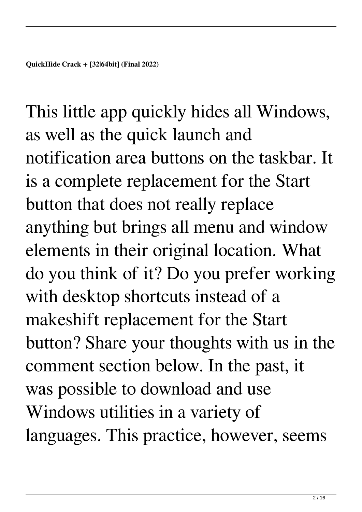This little app quickly hides all Windows, as well as the quick launch and notification area buttons on the taskbar. It is a complete replacement for the Start button that does not really replace anything but brings all menu and window elements in their original location. What do you think of it? Do you prefer working with desktop shortcuts instead of a makeshift replacement for the Start button? Share your thoughts with us in the comment section below. In the past, it was possible to download and use Windows utilities in a variety of languages. This practice, however, seems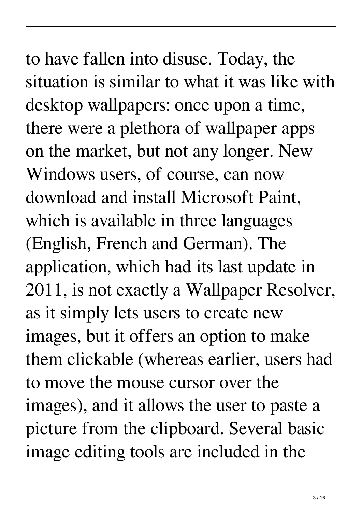to have fallen into disuse. Today, the situation is similar to what it was like with desktop wallpapers: once upon a time, there were a plethora of wallpaper apps on the market, but not any longer. New Windows users, of course, can now download and install Microsoft Paint, which is available in three languages (English, French and German). The application, which had its last update in 2011, is not exactly a Wallpaper Resolver, as it simply lets users to create new images, but it offers an option to make them clickable (whereas earlier, users had to move the mouse cursor over the images), and it allows the user to paste a picture from the clipboard. Several basic image editing tools are included in the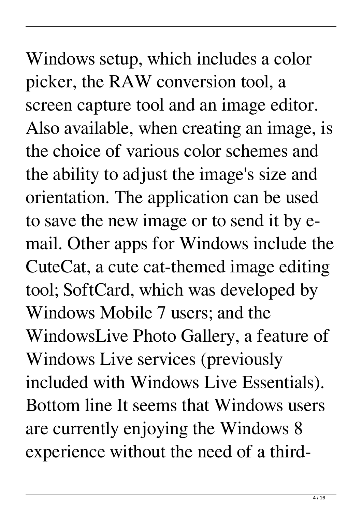Windows setup, which includes a color picker, the RAW conversion tool, a screen capture tool and an image editor. Also available, when creating an image, is the choice of various color schemes and the ability to adjust the image's size and orientation. The application can be used to save the new image or to send it by email. Other apps for Windows include the CuteCat, a cute cat-themed image editing tool; SoftCard, which was developed by Windows Mobile 7 users; and the WindowsLive Photo Gallery, a feature of Windows Live services (previously included with Windows Live Essentials). Bottom line It seems that Windows users are currently enjoying the Windows 8 experience without the need of a third-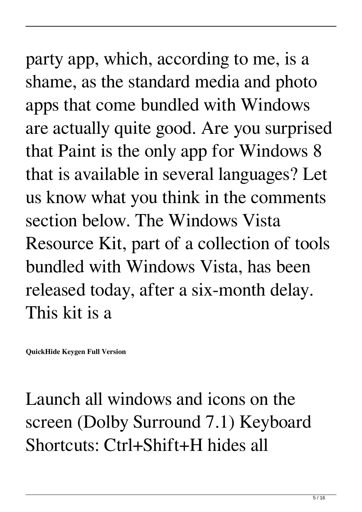## party app, which, according to me, is a shame, as the standard media and photo apps that come bundled with Windows are actually quite good. Are you surprised that Paint is the only app for Windows 8 that is available in several languages? Let us know what you think in the comments section below. The Windows Vista Resource Kit, part of a collection of tools bundled with Windows Vista, has been released today, after a six-month delay. This kit is a

**QuickHide Keygen Full Version**

Launch all windows and icons on the screen (Dolby Surround 7.1) Keyboard Shortcuts: Ctrl+Shift+H hides all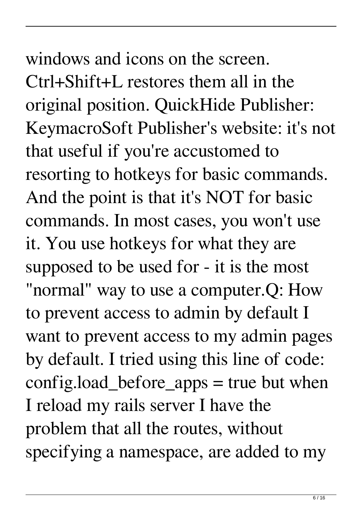# windows and icons on the screen. Ctrl+Shift+L restores them all in the original position. QuickHide Publisher: KeymacroSoft Publisher's website: it's not that useful if you're accustomed to resorting to hotkeys for basic commands. And the point is that it's NOT for basic commands. In most cases, you won't use it. You use hotkeys for what they are supposed to be used for - it is the most "normal" way to use a computer.Q: How to prevent access to admin by default I want to prevent access to my admin pages by default. I tried using this line of code: config.load\_before\_apps = true but when I reload my rails server I have the problem that all the routes, without specifying a namespace, are added to my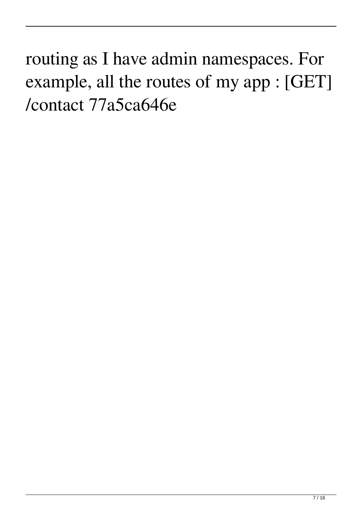### routing as I have admin namespaces. For example, all the routes of my app : [GET] /contact 77a5ca646e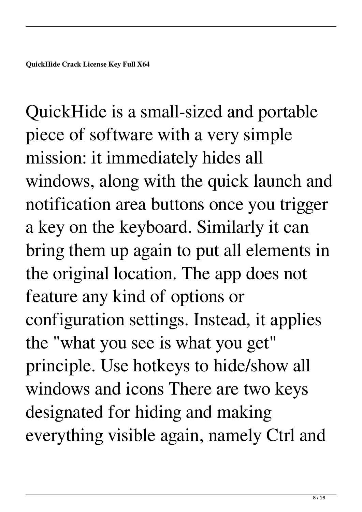QuickHide is a small-sized and portable piece of software with a very simple mission: it immediately hides all windows, along with the quick launch and notification area buttons once you trigger a key on the keyboard. Similarly it can bring them up again to put all elements in the original location. The app does not feature any kind of options or configuration settings. Instead, it applies the "what you see is what you get" principle. Use hotkeys to hide/show all windows and icons There are two keys designated for hiding and making everything visible again, namely Ctrl and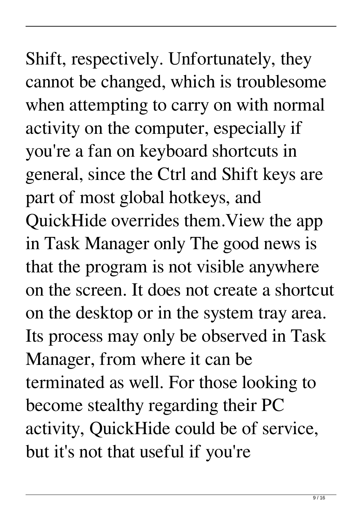Shift, respectively. Unfortunately, they cannot be changed, which is troublesome when attempting to carry on with normal activity on the computer, especially if you're a fan on keyboard shortcuts in general, since the Ctrl and Shift keys are part of most global hotkeys, and QuickHide overrides them.View the app in Task Manager only The good news is that the program is not visible anywhere on the screen. It does not create a shortcut on the desktop or in the system tray area. Its process may only be observed in Task Manager, from where it can be terminated as well. For those looking to become stealthy regarding their PC activity, QuickHide could be of service, but it's not that useful if you're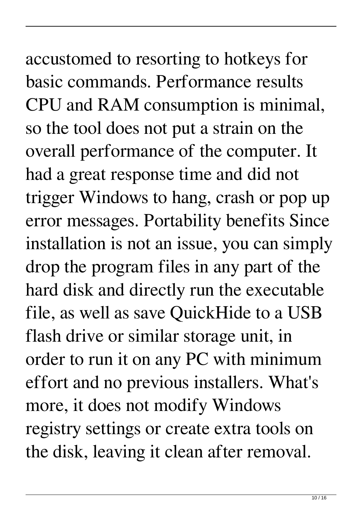# accustomed to resorting to hotkeys for basic commands. Performance results CPU and RAM consumption is minimal, so the tool does not put a strain on the overall performance of the computer. It had a great response time and did not trigger Windows to hang, crash or pop up error messages. Portability benefits Since installation is not an issue, you can simply drop the program files in any part of the hard disk and directly run the executable file, as well as save QuickHide to a USB flash drive or similar storage unit, in order to run it on any PC with minimum effort and no previous installers. What's more, it does not modify Windows

registry settings or create extra tools on the disk, leaving it clean after removal.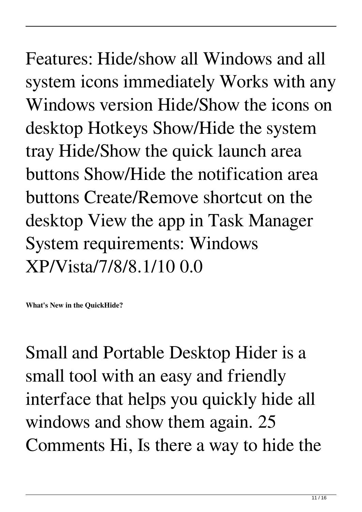Features: Hide/show all Windows and all system icons immediately Works with any Windows version Hide/Show the icons on desktop Hotkeys Show/Hide the system tray Hide/Show the quick launch area buttons Show/Hide the notification area buttons Create/Remove shortcut on the desktop View the app in Task Manager System requirements: Windows XP/Vista/7/8/8.1/10 0.0

**What's New in the QuickHide?**

Small and Portable Desktop Hider is a small tool with an easy and friendly interface that helps you quickly hide all windows and show them again. 25 Comments Hi, Is there a way to hide the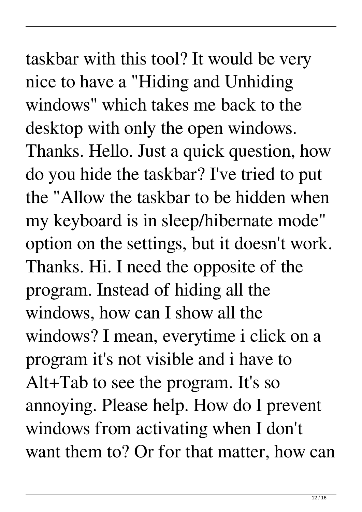# taskbar with this tool? It would be very nice to have a "Hiding and Unhiding windows" which takes me back to the desktop with only the open windows. Thanks. Hello. Just a quick question, how do you hide the taskbar? I've tried to put the "Allow the taskbar to be hidden when my keyboard is in sleep/hibernate mode" option on the settings, but it doesn't work. Thanks. Hi. I need the opposite of the program. Instead of hiding all the windows, how can I show all the windows? I mean, everytime i click on a program it's not visible and i have to Alt+Tab to see the program. It's so annoying. Please help. How do I prevent windows from activating when I don't want them to? Or for that matter, how can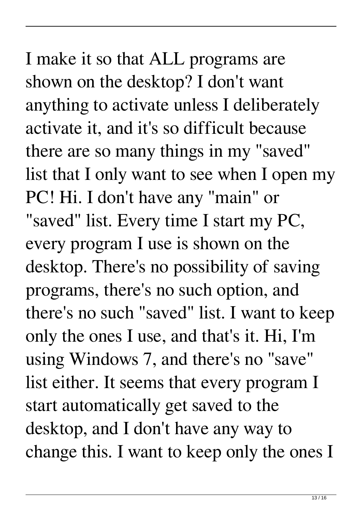I make it so that ALL programs are shown on the desktop? I don't want anything to activate unless I deliberately activate it, and it's so difficult because there are so many things in my "saved" list that I only want to see when I open my PC! Hi. I don't have any "main" or "saved" list. Every time I start my PC, every program I use is shown on the desktop. There's no possibility of saving programs, there's no such option, and there's no such "saved" list. I want to keep only the ones I use, and that's it. Hi, I'm using Windows 7, and there's no "save" list either. It seems that every program I start automatically get saved to the desktop, and I don't have any way to change this. I want to keep only the ones I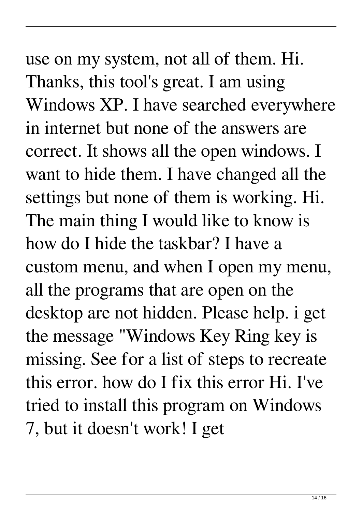# use on my system, not all of them. Hi. Thanks, this tool's great. I am using Windows XP. I have searched everywhere in internet but none of the answers are correct. It shows all the open windows. I want to hide them. I have changed all the settings but none of them is working. Hi. The main thing I would like to know is how do I hide the taskbar? I have a

custom menu, and when I open my menu, all the programs that are open on the desktop are not hidden. Please help. i get the message "Windows Key Ring key is missing. See for a list of steps to recreate this error. how do I fix this error Hi. I've tried to install this program on Windows 7, but it doesn't work! I get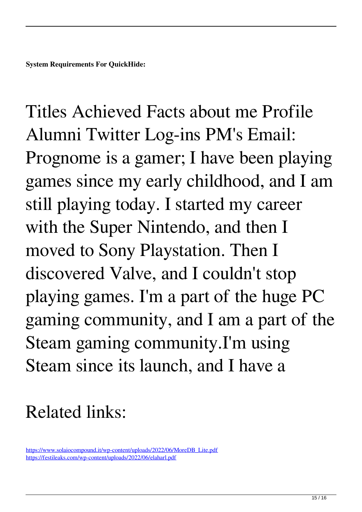Titles Achieved Facts about me Profile Alumni Twitter Log-ins PM's Email: Prognome is a gamer; I have been playing games since my early childhood, and I am still playing today. I started my career with the Super Nintendo, and then I moved to Sony Playstation. Then I discovered Valve, and I couldn't stop playing games. I'm a part of the huge PC gaming community, and I am a part of the Steam gaming community.I'm using Steam since its launch, and I have a

### Related links:

[https://www.solaiocompound.it/wp-content/uploads/2022/06/MoreDB\\_Lite.pdf](https://www.solaiocompound.it/wp-content/uploads/2022/06/MoreDB_Lite.pdf) <https://festileaks.com/wp-content/uploads/2022/06/elaharl.pdf>